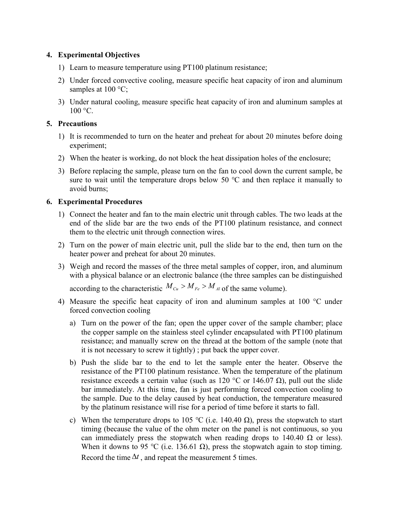## 4. Experimental Objectives

- 1) Learn to measure temperature using PT100 platinum resistance;
- 2) Under forced convective cooling, measure specific heat capacity of iron and aluminum samples at  $100^{\circ}$ C;
- 3) Under natural cooling, measure specific heat capacity of iron and aluminum samples at  $100 \text{ °C}$ .

## 5. Precautions

- 1) It is recommended to turn on the heater and preheat for about 20 minutes before doing experiment;
- 2) When the heater is working, do not block the heat dissipation holes of the enclosure;
- 3) Before replacing the sample, please turn on the fan to cool down the current sample, be sure to wait until the temperature drops below 50  $\degree$ C and then replace it manually to avoid burns;

## 6. Experimental Procedures

- 1) Connect the heater and fan to the main electric unit through cables. The two leads at the end of the slide bar are the two ends of the PT100 platinum resistance, and connect them to the electric unit through connection wires.
- 2) Turn on the power of main electric unit, pull the slide bar to the end, then turn on the heater power and preheat for about 20 minutes.
- 3) Weigh and record the masses of the three metal samples of copper, iron, and aluminum with a physical balance or an electronic balance (the three samples can be distinguished

according to the characteristic  $M_{Cu} > M_{Fe} > M_{Al}$  of the same volume).

- 4) Measure the specific heat capacity of iron and aluminum samples at  $100^{\circ}$ C under forced convection cooling
	- a) Turn on the power of the fan; open the upper cover of the sample chamber; place the copper sample on the stainless steel cylinder encapsulated with PT100 platinum resistance; and manually screw on the thread at the bottom of the sample (note that it is not necessary to screw it tightly) ; put back the upper cover.
	- b) Push the slide bar to the end to let the sample enter the heater. Observe the resistance of the PT100 platinum resistance. When the temperature of the platinum resistance exceeds a certain value (such as  $120 \degree C$  or  $146.07 \Omega$ ), pull out the slide bar immediately. At this time, fan is just performing forced convection cooling to the sample. Due to the delay caused by heat conduction, the temperature measured by the platinum resistance will rise for a period of time before it starts to fall.
	- c) When the temperature drops to 105 °C (i.e. 140.40  $\Omega$ ), press the stopwatch to start timing (because the value of the ohm meter on the panel is not continuous, so you can immediately press the stopwatch when reading drops to  $140.40 \Omega$  or less). When it downs to 95 °C (i.e. 136.61  $\Omega$ ), press the stopwatch again to stop timing. Record the time  $\Delta t$ , and repeat the measurement 5 times.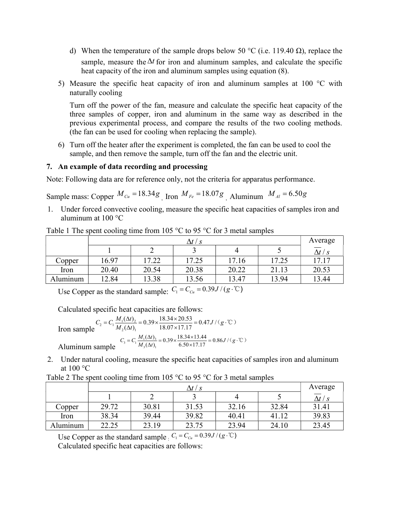- d) When the temperature of the sample drops below 50 °C (i.e. 119.40  $\Omega$ ), replace the sample, measure the  $\Delta t$  for iron and aluminum samples, and calculate the specific heat capacity of the iron and aluminum samples using equation (8).
- 5) Measure the specific heat capacity of iron and aluminum samples at  $100^{\circ}$ C with naturally cooling

Turn off the power of the fan, measure and calculate the specific heat capacity of the three samples of copper, iron and aluminum in the same way as described in the previous experimental process, and compare the results of the two cooling methods. (the fan can be used for cooling when replacing the sample).

6) Turn off the heater after the experiment is completed, the fan can be used to cool the sample, and then remove the sample, turn off the fan and the electric unit.

## 7. An example of data recording and processing

Note: Following data are for reference only, not the criteria for apparatus performance.

Sample mass: Copper  $M_{Cu} = 18.34 g$  Iron  $M_{Fe} = 18.07 g$  Aluminum  $M_{Al} = 6.50 g$ 

1. Under forced convective cooling, measure the specific heat capacities of samples iron and aluminum at 100 °C

|          |       | Average |       |       |       |                  |
|----------|-------|---------|-------|-------|-------|------------------|
|          |       |         |       |       |       | $\Delta t$ / $s$ |
| Copper   | 16.97 | 17.22   | 17.25 | 17.16 | 17.25 | 17.17            |
| Iron     | 20.40 | 20.54   | 20.38 | 20.22 | 21.13 | 20.53            |
| Aluminum | 12.84 | 13.38   | 13.56 | 13.47 | 13.94 | 13.44            |

Table 1 The spent cooling time from 105  $\degree$ C to 95  $\degree$ C for 3 metal samples

Use Copper as the standard sample:  $C_1 = C_{Cu} = 0.39 J / (g \cdot \mathcal{C})$ 

Calculated specific heat capacities are follows:

Iron sample  $C_2 = C_1 \frac{M_1(\Delta t)_2}{M_2(\Delta t)_1}$  $C_2 = C_1 \frac{M_1(\Delta t)_2}{M_2(\Delta t)_1} = 0.39 \times \frac{18.34 \times 20.53}{18.07 \times 17.17} = 0.47 J / (g \cdot \text{°C})$  $/(g \cdot \mathbb{C})$ Aluminum sample  $C_1 \frac{M_1(\Delta t)_3}{M_3(\Delta t)_1}$  $C_3 = C_1 \frac{M_1(\Delta t)_3}{M_3(\Delta t)_1} = 0.39 \times \frac{18.34 \times 13.44}{6.50 \times 17.17} = 0.86 J/(g \cdot ^{\circ}\mathrm{C})$ 

2. Under natural cooling, measure the specific heat capacities of samples iron and aluminum at 100 °C

| Table 2 The spent cooling time from 105 $\degree$ C to 95 $\degree$ C for 3 metal samples |  |  |
|-------------------------------------------------------------------------------------------|--|--|
|                                                                                           |  |  |

|          | $\Delta t$ / s |       |       |       |       | Average        |
|----------|----------------|-------|-------|-------|-------|----------------|
|          |                |       |       |       |       | $\Delta t$ / s |
| Copper   | 29.72          | 30.81 | 31.53 | 32.16 | 32.84 | 31.41          |
| Iron     | 38.34          | 39.44 | 39.82 | 40.41 | 41.12 | 39.83          |
| Aluminum | 22.25          | 23.19 | 23.75 | 23.94 | 24.10 | 23.45          |

Use Copper as the standard sample :  $C_1 = C_{Cu} = 0.39 J / (g \cdot \mathbb{C})$ 

Calculated specific heat capacities are follows: